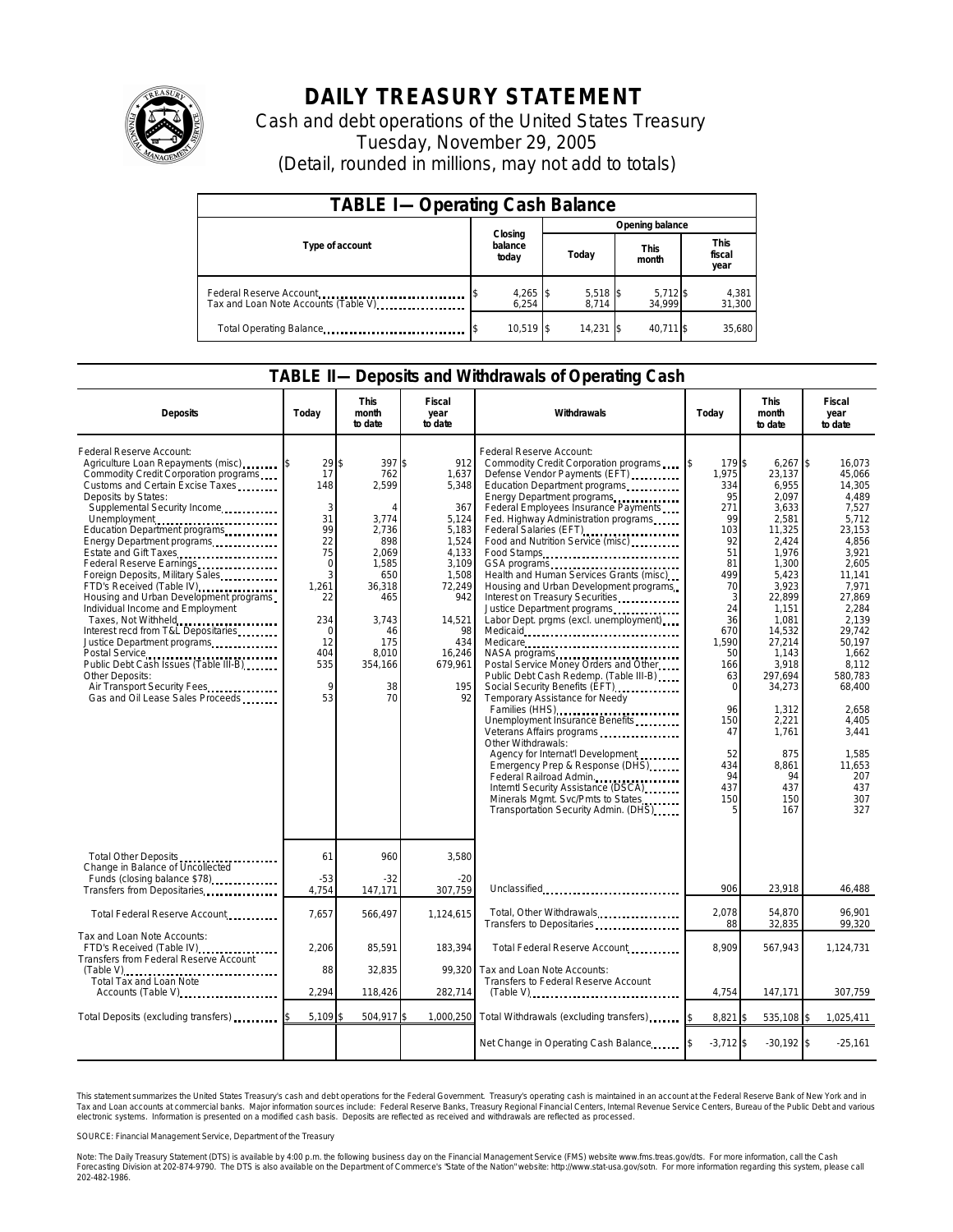

## **DAILY TREASURY STATEMENT**

Cash and debt operations of the United States Treasury Tuesday, November 29, 2005 (Detail, rounded in millions, may not add to totals)

| <b>TABLE I-Operating Cash Balance</b>                           |                             |                   |                      |                               |  |  |  |
|-----------------------------------------------------------------|-----------------------------|-------------------|----------------------|-------------------------------|--|--|--|
|                                                                 |                             | Opening balance   |                      |                               |  |  |  |
| Type of account                                                 | Closing<br>balance<br>today | Today             | <b>This</b><br>month | <b>This</b><br>fiscal<br>year |  |  |  |
| Federal Reserve Account<br>Tax and Loan Note Accounts (Table V) | 4,265 \$<br>6.254           | 5,518 \$<br>8.714 | 5,712 \$<br>34.999   | 4,381<br>31,300               |  |  |  |
| Total Operating Balance                                         | $10.519$ \$                 | 14,231            | 40.711 \$            | 35.680                        |  |  |  |

## **TABLE II—Deposits and Withdrawals of Operating Cash**

| <b>Deposits</b>                                                                                                                                                                                                                                                                                                                                                                                                                                                                                                                                                                                                                                                                                                   | Today                                                                                                                          | This<br>month<br>to date                                                                                                                       | Fiscal<br>year<br>to date                                                                                                                                    | Withdrawals                                                                                                                                                                                                                                                                                                                                                                                                                                                                                                                                                                                                                                                                                                                                                                                                                                                                                                                                                                                                                                    | Today                                                                                                                                                                                               | <b>This</b><br>month<br>to date                                                                                                                                                                                                                                         | Fiscal<br>year<br>to date                                                                                                                                                                                                                                                                    |
|-------------------------------------------------------------------------------------------------------------------------------------------------------------------------------------------------------------------------------------------------------------------------------------------------------------------------------------------------------------------------------------------------------------------------------------------------------------------------------------------------------------------------------------------------------------------------------------------------------------------------------------------------------------------------------------------------------------------|--------------------------------------------------------------------------------------------------------------------------------|------------------------------------------------------------------------------------------------------------------------------------------------|--------------------------------------------------------------------------------------------------------------------------------------------------------------|------------------------------------------------------------------------------------------------------------------------------------------------------------------------------------------------------------------------------------------------------------------------------------------------------------------------------------------------------------------------------------------------------------------------------------------------------------------------------------------------------------------------------------------------------------------------------------------------------------------------------------------------------------------------------------------------------------------------------------------------------------------------------------------------------------------------------------------------------------------------------------------------------------------------------------------------------------------------------------------------------------------------------------------------|-----------------------------------------------------------------------------------------------------------------------------------------------------------------------------------------------------|-------------------------------------------------------------------------------------------------------------------------------------------------------------------------------------------------------------------------------------------------------------------------|----------------------------------------------------------------------------------------------------------------------------------------------------------------------------------------------------------------------------------------------------------------------------------------------|
| Federal Reserve Account:<br>Agriculture Loan Repayments (misc)<br>Commodity Credit Corporation programs<br>Customs and Certain Excise Taxes<br>Deposits by States:<br>Supplemental Security Income<br>Unemployment<br>Education Department programs<br>Energy Department programs<br>Estate and Gift Taxes<br>Federal Reserve Earnings<br>Foreign Deposits, Military Sales<br>FTD's Received (Table IV)<br>Housing and Urban Development programs<br>Individual Income and Employment<br>Taxes, Not Withheld<br>Interest recd from T&L Depositaries<br>Justice Department programs<br>Public Debt Cash Issues (Table III-B)<br>Other Deposits:<br>Air Transport Security Fees<br>Gas and Oil Lease Sales Proceeds | 29<br>17<br>148<br>3<br>31<br>99<br>22<br>75<br>$\Omega$<br>3<br>1,261<br>22<br>234<br>$\Omega$<br>12<br>404<br>535<br>9<br>53 | 397\$<br>762<br>2,599<br>3,774<br>2,736<br>898<br>2.069<br>1,585<br>650<br>36,318<br>465<br>3,743<br>46<br>175<br>8,010<br>354,166<br>38<br>70 | 912<br>1,637<br>5,348<br>367<br>5,124<br>5,183<br>1,524<br>4,133<br>3,109<br>1,508<br>72,249<br>942<br>14,521<br>98<br>434<br>16,246<br>679,961<br>195<br>92 | Federal Reserve Account:<br>Commodity Credit Corporation programs<br>Defense Vendor Payments (EFT)<br>Education Department programs<br>Energy Department programs<br>Federal Employees Insurance Payments<br>Fed. Highway Administration programs<br>Federal Salaries (EFT)<br>Federal Salaries (EFT)<br>Food and Nutrition Service (misc)<br>Food Stamps<br>Health and Human Services Grants (misc)<br>Housing and Urban Development programs<br>Interest on Treasury Securities<br>Labor Dept. prgms (excl. unemployment)<br>Medicare<br>NASA programs<br>Postal Service Money Orders and Other<br>Public Debt Cash Redemp. (Table III-B)<br>Social Security Benefits (EFT)<br>Temporary Assistance for Needy<br>Families (HHS)<br>Unemployment Insurance Benefits<br>Veterans Affairs programs<br>Other Withdrawals:<br>Agency for Internat'l Development<br>Emergency Prep & Response (DHS)<br>Federal Railroad Admin.<br>Interntl Security Assistance (DSCA)<br>Minerals Mgmt. Svc/Pmts to States<br>Transportation Security Admin. (DHS) | 179 \$<br>1.975<br>334<br>95<br>271<br>99<br>103<br>92<br>51<br>81<br>499<br>70<br>3<br>24<br>36<br>670<br>1.590<br>50<br>166<br>63<br>$\Omega$<br>96<br>150<br>47<br>52<br>434<br>94<br>437<br>150 | 6,267<br>23,137<br>6,955<br>2,097<br>3,633<br>2,581<br>11,325<br>2,424<br>1,976<br>1,300<br>5,423<br>3,923<br>22,899<br>1,151<br>1,081<br>14,532<br>27,214<br>1,143<br>3,918<br>297,694<br>34,273<br>1,312<br>2,221<br>1.761<br>875<br>8.861<br>94<br>437<br>150<br>167 | $\sqrt{ }$<br>16.073<br>45.066<br>14,305<br>4.489<br>7.527<br>5,712<br>23,153<br>4,856<br>3.921<br>2.605<br>11,141<br>7,971<br>27,869<br>2,284<br>2,139<br>29.742<br>50.197<br>1,662<br>8.112<br>580.783<br>68.400<br>2,658<br>4,405<br>3.441<br>1,585<br>11.653<br>207<br>437<br>307<br>327 |
| Total Other Deposits<br>Change in Balance of Uncollected<br>Funds (closing balance \$78)                                                                                                                                                                                                                                                                                                                                                                                                                                                                                                                                                                                                                          | 61<br>$-53$                                                                                                                    | 960<br>$-32$                                                                                                                                   | 3.580<br>$-20$                                                                                                                                               |                                                                                                                                                                                                                                                                                                                                                                                                                                                                                                                                                                                                                                                                                                                                                                                                                                                                                                                                                                                                                                                |                                                                                                                                                                                                     |                                                                                                                                                                                                                                                                         |                                                                                                                                                                                                                                                                                              |
| Transfers from Depositaries                                                                                                                                                                                                                                                                                                                                                                                                                                                                                                                                                                                                                                                                                       | 4,754                                                                                                                          | 147,171                                                                                                                                        | 307,759                                                                                                                                                      | Unclassified                                                                                                                                                                                                                                                                                                                                                                                                                                                                                                                                                                                                                                                                                                                                                                                                                                                                                                                                                                                                                                   | 906                                                                                                                                                                                                 | 23,918                                                                                                                                                                                                                                                                  | 46,488                                                                                                                                                                                                                                                                                       |
| Total Federal Reserve Account                                                                                                                                                                                                                                                                                                                                                                                                                                                                                                                                                                                                                                                                                     | 7,657                                                                                                                          | 566,497                                                                                                                                        | 1,124,615                                                                                                                                                    | Total, Other Withdrawals<br>Transfers to Depositaries                                                                                                                                                                                                                                                                                                                                                                                                                                                                                                                                                                                                                                                                                                                                                                                                                                                                                                                                                                                          | 2,078<br>88                                                                                                                                                                                         | 54,870<br>32,835                                                                                                                                                                                                                                                        | 96.901<br>99,320                                                                                                                                                                                                                                                                             |
| Tax and Loan Note Accounts:<br>FTD's Received (Table IV)<br>Transfers from Federal Reserve Account                                                                                                                                                                                                                                                                                                                                                                                                                                                                                                                                                                                                                | 2,206                                                                                                                          | 85,591                                                                                                                                         | 183.394                                                                                                                                                      | Total Federal Reserve Account                                                                                                                                                                                                                                                                                                                                                                                                                                                                                                                                                                                                                                                                                                                                                                                                                                                                                                                                                                                                                  | 8.909                                                                                                                                                                                               | 567,943                                                                                                                                                                                                                                                                 | 1,124,731                                                                                                                                                                                                                                                                                    |
| Total Tax and Loan Note<br>Accounts (Table V)                                                                                                                                                                                                                                                                                                                                                                                                                                                                                                                                                                                                                                                                     | 88<br>2.294                                                                                                                    | 32,835<br>118,426                                                                                                                              | 99,320<br>282,714                                                                                                                                            | Tax and Loan Note Accounts:<br>Transfers to Federal Reserve Account<br>$(Table V)$                                                                                                                                                                                                                                                                                                                                                                                                                                                                                                                                                                                                                                                                                                                                                                                                                                                                                                                                                             | 4.754                                                                                                                                                                                               | 147.171                                                                                                                                                                                                                                                                 | 307,759                                                                                                                                                                                                                                                                                      |
|                                                                                                                                                                                                                                                                                                                                                                                                                                                                                                                                                                                                                                                                                                                   |                                                                                                                                |                                                                                                                                                |                                                                                                                                                              |                                                                                                                                                                                                                                                                                                                                                                                                                                                                                                                                                                                                                                                                                                                                                                                                                                                                                                                                                                                                                                                |                                                                                                                                                                                                     |                                                                                                                                                                                                                                                                         |                                                                                                                                                                                                                                                                                              |
| Total Deposits (excluding transfers)                                                                                                                                                                                                                                                                                                                                                                                                                                                                                                                                                                                                                                                                              | 5,109                                                                                                                          | 504,917 \$                                                                                                                                     |                                                                                                                                                              | 1,000,250 Total Withdrawals (excluding transfers)                                                                                                                                                                                                                                                                                                                                                                                                                                                                                                                                                                                                                                                                                                                                                                                                                                                                                                                                                                                              | 8,821                                                                                                                                                                                               | 535,108 \$                                                                                                                                                                                                                                                              | 1,025,411                                                                                                                                                                                                                                                                                    |
|                                                                                                                                                                                                                                                                                                                                                                                                                                                                                                                                                                                                                                                                                                                   |                                                                                                                                |                                                                                                                                                |                                                                                                                                                              | Net Change in Operating Cash Balance                                                                                                                                                                                                                                                                                                                                                                                                                                                                                                                                                                                                                                                                                                                                                                                                                                                                                                                                                                                                           | $-3,712$ \$                                                                                                                                                                                         | $-30,192$ \$                                                                                                                                                                                                                                                            | $-25,161$                                                                                                                                                                                                                                                                                    |

This statement summarizes the United States Treasury's cash and debt operations for the Federal Government. Treasury's operating cash is maintained in an account at the Federal Reserve Bank of New York and in<br>Tax and Loan narizes the United States Treasury's cash and debt operations for the Federal Government. Treasury's operating cash is maintained in an account at the Federal Reserve Bank of New York and in<br>ints at commercial banks. Major

SOURCE: Financial Management Service, Department of the Treasury

Note: The Daily Treasury Statement (DTS) is available by 4:00 p.m. the following business day on the Financial Management Service (FMS) website www.fms.treas.gov/dts. For more information, call the Cash<br>Forecasting Divisio 202-482-1986.